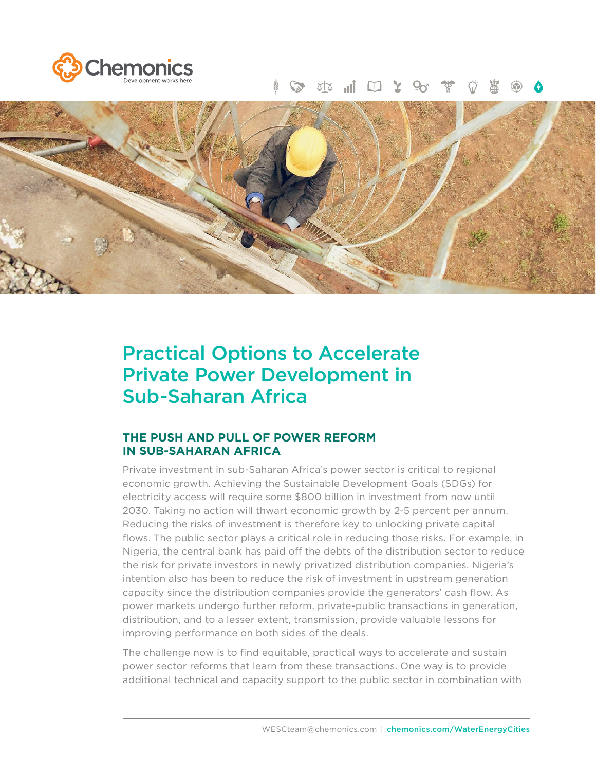

#### $\widetilde{P}$  $\mathbf{Y}$   $\Box$   $\mathbf{I}$   $\mathbf{V}$



# Practical Options to Accelerate Private Power Development in Sub-Saharan Africa

# **THE PUSH AND PULL OF POWER REFORM IN SUB-SAHARAN AFRICA**

Private investment in sub-Saharan Africa's power sector is critical to regional economic growth. Achieving the Sustainable Development Goals (SDGs) for electricity access will require some \$800 billion in investment from now until 2030. Taking no action will thwart economic growth by 2-5 percent per annum. Reducing the risks of investment is therefore key to unlocking private capital flows. The public sector plays a critical role in reducing those risks. For example, in Nigeria, the central bank has paid off the debts of the distribution sector to reduce the risk for private investors in newly privatized distribution companies. Nigeria's intention also has been to reduce the risk of investment in upstream generation capacity since the distribution companies provide the generators' cash flow. As power markets undergo further reform, private-public transactions in generation, distribution, and to a lesser extent, transmission, provide valuable lessons for improving performance on both sides of the deals.

The challenge now is to find equitable, practical ways to accelerate and sustain power sector reforms that learn from these transactions. One way is to provide additional technical and capacity support to the public sector in combination with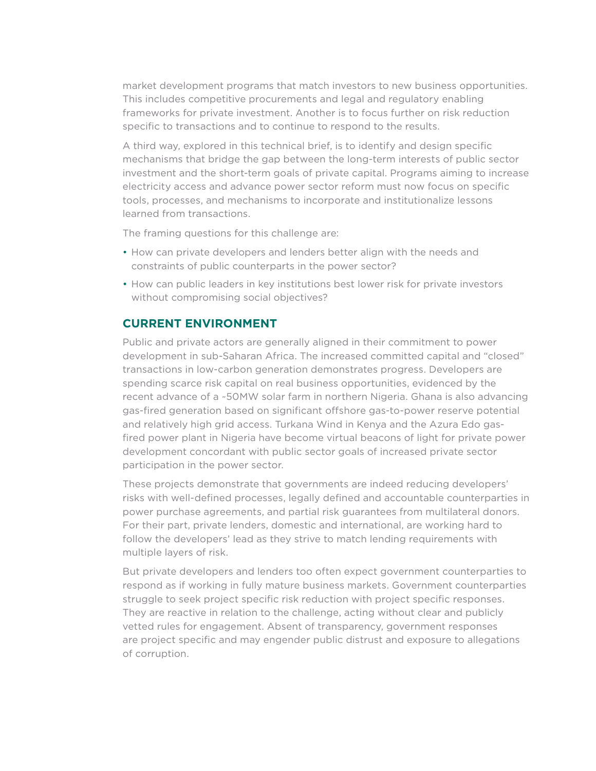market development programs that match investors to new business opportunities. This includes competitive procurements and legal and regulatory enabling frameworks for private investment. Another is to focus further on risk reduction specific to transactions and to continue to respond to the results.

A third way, explored in this technical brief, is to identify and design specific mechanisms that bridge the gap between the long-term interests of public sector investment and the short-term goals of private capital. Programs aiming to increase electricity access and advance power sector reform must now focus on specific tools, processes, and mechanisms to incorporate and institutionalize lessons learned from transactions.

The framing questions for this challenge are:

- How can private developers and lenders better align with the needs and constraints of public counterparts in the power sector?
- How can public leaders in key institutions best lower risk for private investors without compromising social objectives?

# **CURRENT ENVIRONMENT**

Public and private actors are generally aligned in their commitment to power development in sub-Saharan Africa. The increased committed capital and "closed" transactions in low-carbon generation demonstrates progress. Developers are spending scarce risk capital on real business opportunities, evidenced by the recent advance of a ~50MW solar farm in northern Nigeria. Ghana is also advancing gas-fired generation based on significant offshore gas-to-power reserve potential and relatively high grid access. Turkana Wind in Kenya and the Azura Edo gasfired power plant in Nigeria have become virtual beacons of light for private power development concordant with public sector goals of increased private sector participation in the power sector.

These projects demonstrate that governments are indeed reducing developers' risks with well-defined processes, legally defined and accountable counterparties in power purchase agreements, and partial risk guarantees from multilateral donors. For their part, private lenders, domestic and international, are working hard to follow the developers' lead as they strive to match lending requirements with multiple layers of risk.

But private developers and lenders too often expect government counterparties to respond as if working in fully mature business markets. Government counterparties struggle to seek project specific risk reduction with project specific responses. They are reactive in relation to the challenge, acting without clear and publicly vetted rules for engagement. Absent of transparency, government responses are project specific and may engender public distrust and exposure to allegations of corruption.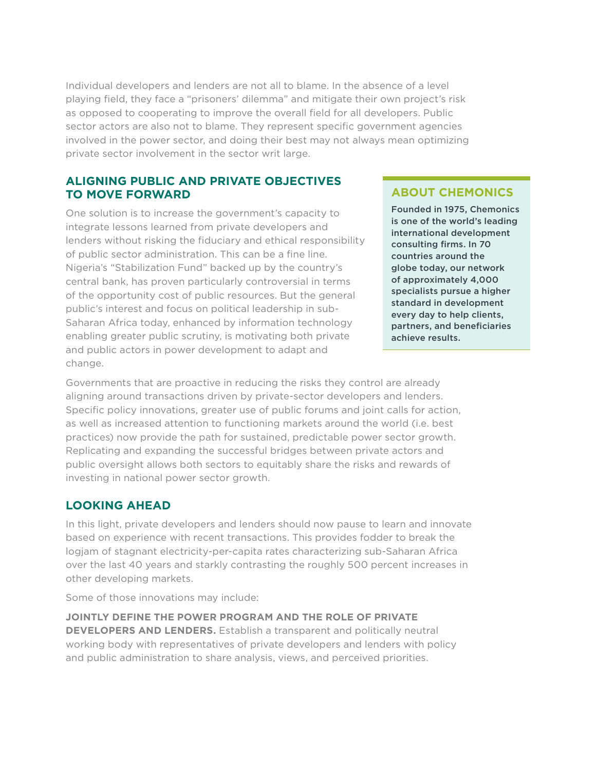Individual developers and lenders are not all to blame. In the absence of a level playing field, they face a "prisoners' dilemma" and mitigate their own project's risk as opposed to cooperating to improve the overall field for all developers. Public sector actors are also not to blame. They represent specific government agencies involved in the power sector, and doing their best may not always mean optimizing private sector involvement in the sector writ large.

### **ALIGNING PUBLIC AND PRIVATE OBJECTIVES TO MOVE FORWARD**

One solution is to increase the government's capacity to integrate lessons learned from private developers and lenders without risking the fiduciary and ethical responsibility of public sector administration. This can be a fine line. Nigeria's "Stabilization Fund" backed up by the country's central bank, has proven particularly controversial in terms of the opportunity cost of public resources. But the general public's interest and focus on political leadership in sub-Saharan Africa today, enhanced by information technology enabling greater public scrutiny, is motivating both private and public actors in power development to adapt and change.

# **ABOUT CHEMONICS**

Founded in 1975, Chemonics is one of the world's leading international development consulting firms. In 70 countries around the globe today, our network of approximately 4,000 specialists pursue a higher standard in development every day to help clients, partners, and beneficiaries achieve results.

Governments that are proactive in reducing the risks they control are already aligning around transactions driven by private-sector developers and lenders. Specific policy innovations, greater use of public forums and joint calls for action, as well as increased attention to functioning markets around the world (i.e. best practices) now provide the path for sustained, predictable power sector growth. Replicating and expanding the successful bridges between private actors and public oversight allows both sectors to equitably share the risks and rewards of investing in national power sector growth.

# **LOOKING AHEAD**

In this light, private developers and lenders should now pause to learn and innovate based on experience with recent transactions. This provides fodder to break the logjam of stagnant electricity-per-capita rates characterizing sub-Saharan Africa over the last 40 years and starkly contrasting the roughly 500 percent increases in other developing markets.

Some of those innovations may include:

**JOINTLY DEFINE THE POWER PROGRAM AND THE ROLE OF PRIVATE DEVELOPERS AND LENDERS.** Establish a transparent and politically neutral working body with representatives of private developers and lenders with policy and public administration to share analysis, views, and perceived priorities.